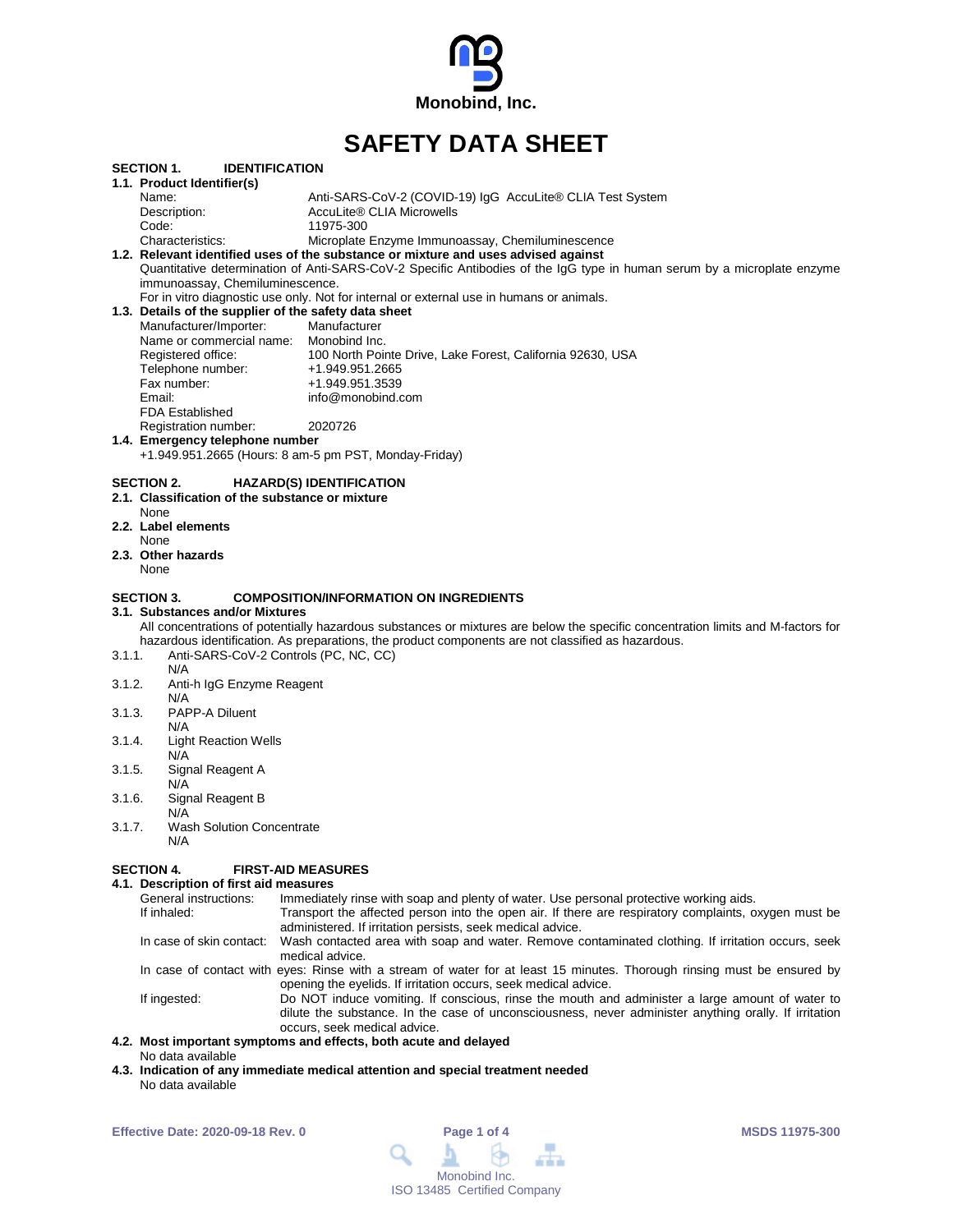

# **SAFETY DATA SHEET**

|                                                                                                                         | <b>SECTION 1.</b><br><b>IDENTIFICATION</b>            |                                                                                                                                  |  |  |  |  |
|-------------------------------------------------------------------------------------------------------------------------|-------------------------------------------------------|----------------------------------------------------------------------------------------------------------------------------------|--|--|--|--|
|                                                                                                                         | 1.1. Product Identifier(s)                            |                                                                                                                                  |  |  |  |  |
|                                                                                                                         | Name:                                                 | Anti-SARS-CoV-2 (COVID-19) IgG AccuLite® CLIA Test System                                                                        |  |  |  |  |
|                                                                                                                         | Description:                                          | AccuLite® CLIA Microwells                                                                                                        |  |  |  |  |
|                                                                                                                         | Code:                                                 | 11975-300                                                                                                                        |  |  |  |  |
|                                                                                                                         | Characteristics:                                      | Microplate Enzyme Immunoassay, Chemiluminescence                                                                                 |  |  |  |  |
|                                                                                                                         |                                                       | 1.2. Relevant identified uses of the substance or mixture and uses advised against                                               |  |  |  |  |
| Quantitative determination of Anti-SARS-CoV-2 Specific Antibodies of the IgG type in human serum by a microplate enzyme |                                                       |                                                                                                                                  |  |  |  |  |
| immunoassay, Chemiluminescence.                                                                                         |                                                       |                                                                                                                                  |  |  |  |  |
|                                                                                                                         |                                                       | For in vitro diagnostic use only. Not for internal or external use in humans or animals.                                         |  |  |  |  |
|                                                                                                                         | 1.3. Details of the supplier of the safety data sheet |                                                                                                                                  |  |  |  |  |
|                                                                                                                         | Manufacturer/Importer:                                | Manufacturer                                                                                                                     |  |  |  |  |
|                                                                                                                         | Name or commercial name: Monobind Inc.                |                                                                                                                                  |  |  |  |  |
|                                                                                                                         | Registered office:                                    | 100 North Pointe Drive, Lake Forest, California 92630, USA                                                                       |  |  |  |  |
|                                                                                                                         | Telephone number:                                     | +1.949.951.2665                                                                                                                  |  |  |  |  |
|                                                                                                                         | Fax number:                                           | +1.949.951.3539                                                                                                                  |  |  |  |  |
|                                                                                                                         | Email:                                                | info@monobind.com                                                                                                                |  |  |  |  |
|                                                                                                                         | <b>FDA Established</b>                                |                                                                                                                                  |  |  |  |  |
|                                                                                                                         | Registration number:                                  | 2020726                                                                                                                          |  |  |  |  |
|                                                                                                                         | 1.4. Emergency telephone number                       |                                                                                                                                  |  |  |  |  |
|                                                                                                                         | +1.949.951.2665 (Hours: 8 am-5 pm PST, Monday-Friday) |                                                                                                                                  |  |  |  |  |
|                                                                                                                         |                                                       |                                                                                                                                  |  |  |  |  |
|                                                                                                                         | SECTION 2.                                            | <b>HAZARD(S) IDENTIFICATION</b>                                                                                                  |  |  |  |  |
|                                                                                                                         | 2.1. Classification of the substance or mixture       |                                                                                                                                  |  |  |  |  |
|                                                                                                                         | None                                                  |                                                                                                                                  |  |  |  |  |
|                                                                                                                         | 2.2. Label elements                                   |                                                                                                                                  |  |  |  |  |
|                                                                                                                         | None                                                  |                                                                                                                                  |  |  |  |  |
|                                                                                                                         | 2.3. Other hazards                                    |                                                                                                                                  |  |  |  |  |
|                                                                                                                         | None                                                  |                                                                                                                                  |  |  |  |  |
|                                                                                                                         |                                                       |                                                                                                                                  |  |  |  |  |
|                                                                                                                         | <b>SECTION 3.</b>                                     | <b>COMPOSITION/INFORMATION ON INGREDIENTS</b>                                                                                    |  |  |  |  |
|                                                                                                                         | 3.1. Substances and/or Mixtures                       |                                                                                                                                  |  |  |  |  |
|                                                                                                                         |                                                       | All concentrations of potentially hazardous substances or mixtures are below the specific concentration limits and M-factors for |  |  |  |  |
|                                                                                                                         |                                                       | hazardous identification. As preparations, the product components are not classified as hazardous.                               |  |  |  |  |
| 3.1.1.                                                                                                                  | Anti-SARS-CoV-2 Controls (PC, NC, CC)                 |                                                                                                                                  |  |  |  |  |
|                                                                                                                         | N/A                                                   |                                                                                                                                  |  |  |  |  |
| 3.1.2.                                                                                                                  | Anti-h IgG Enzyme Reagent                             |                                                                                                                                  |  |  |  |  |
|                                                                                                                         | N/A                                                   |                                                                                                                                  |  |  |  |  |
| 3.1.3.                                                                                                                  | PAPP-A Diluent                                        |                                                                                                                                  |  |  |  |  |
|                                                                                                                         |                                                       |                                                                                                                                  |  |  |  |  |
| N/A                                                                                                                     |                                                       |                                                                                                                                  |  |  |  |  |
| 3.1.4.                                                                                                                  | <b>Light Reaction Wells</b>                           |                                                                                                                                  |  |  |  |  |
|                                                                                                                         | N/A                                                   |                                                                                                                                  |  |  |  |  |
| 3.1.5.                                                                                                                  | Signal Reagent A                                      |                                                                                                                                  |  |  |  |  |
|                                                                                                                         | N/A                                                   |                                                                                                                                  |  |  |  |  |
| 3.1.6.                                                                                                                  | Signal Reagent B                                      |                                                                                                                                  |  |  |  |  |
|                                                                                                                         | N/A                                                   |                                                                                                                                  |  |  |  |  |
| 3.1.7.                                                                                                                  | <b>Wash Solution Concentrate</b>                      |                                                                                                                                  |  |  |  |  |

N/A

#### **SECTION 4. FIRST-AID MEASURES**

**4.1. Description of first aid measures** General instructions: Immediately rinse with soap and plenty of water. Use personal protective working aids.<br>If inhaled: If inhaled: Transport the affected person into the open air. If there are respiratory complaints, Transport the affected person into the open air. If there are respiratory complaints, oxygen must be administered. If irritation persists, seek medical advice. In case of skin contact: Wash contacted area with soap and water. Remove contaminated clothing. If irritation occurs, seek medical advice. In case of contact with eyes: Rinse with a stream of water for at least 15 minutes. Thorough rinsing must be ensured by opening the eyelids. If irritation occurs, seek medical advice. If ingested: Do NOT induce vomiting. If conscious, rinse the mouth and administer a large amount of water to dilute the substance. In the case of unconsciousness, never administer anything orally. If irritation occurs, seek medical advice.

#### **4.2. Most important symptoms and effects, both acute and delayed** No data available

**4.3. Indication of any immediate medical attention and special treatment needed** No data available

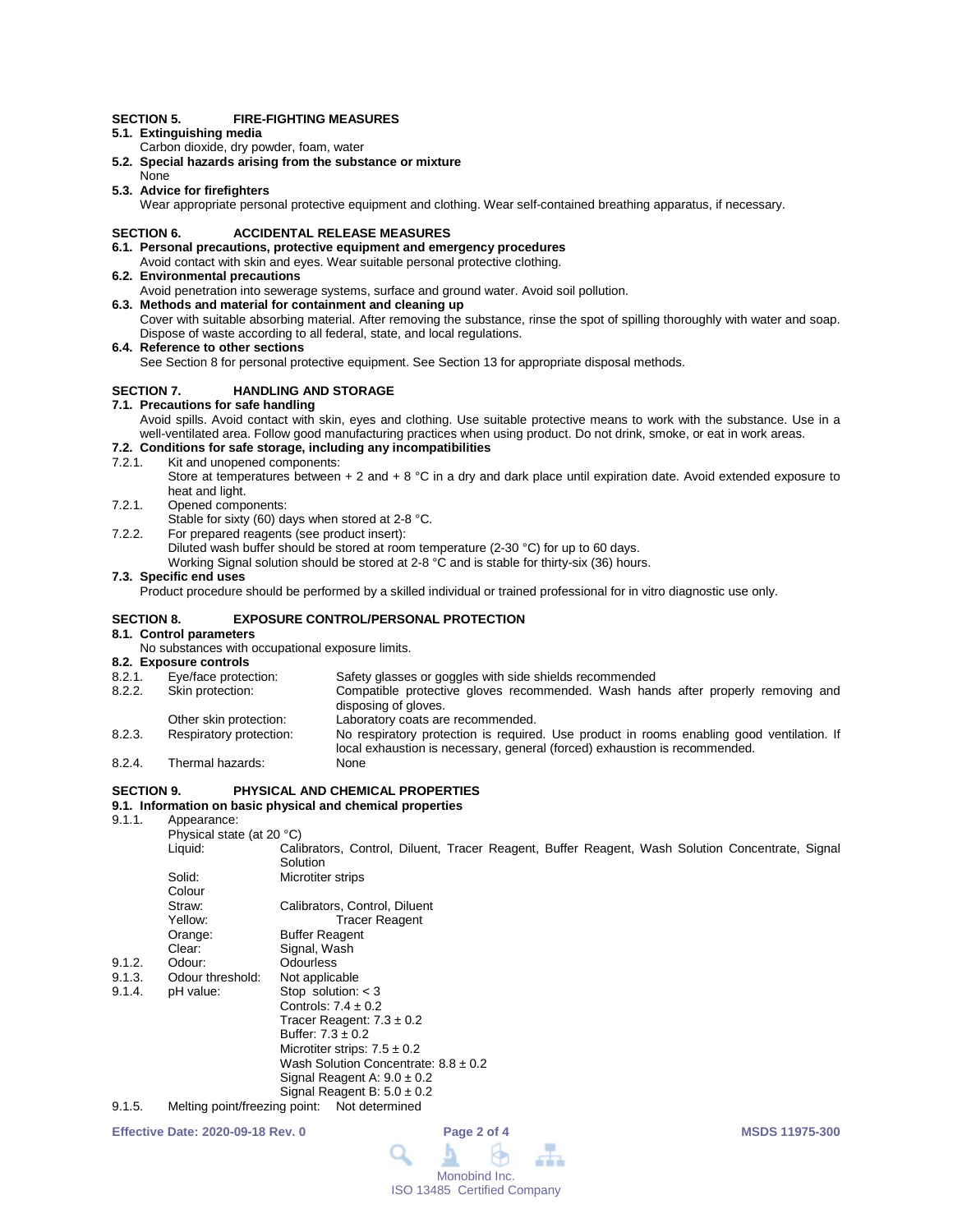#### **SECTION 5. FIRE-FIGHTING MEASURES**

- **5.1. Extinguishing media**
- Carbon dioxide, dry powder, foam, water
- **5.2. Special hazards arising from the substance or mixture**
- None **5.3. Advice for firefighters**

Wear appropriate personal protective equipment and clothing. Wear self-contained breathing apparatus, if necessary.

#### **SECTION 6. ACCIDENTAL RELEASE MEASURES**

#### **6.1. Personal precautions, protective equipment and emergency procedures**

- Avoid contact with skin and eyes. Wear suitable personal protective clothing.
- **6.2. Environmental precautions**
	- Avoid penetration into sewerage systems, surface and ground water. Avoid soil pollution.
- **6.3. Methods and material for containment and cleaning up** Cover with suitable absorbing material. After removing the substance, rinse the spot of spilling thoroughly with water and soap. Dispose of waste according to all federal, state, and local regulations.
- **6.4. Reference to other sections**

See Section 8 for personal protective equipment. See Section 13 for appropriate disposal methods.

### **SECTION 7. HANDLING AND STORAGE**

### **7.1. Precautions for safe handling**

Avoid spills. Avoid contact with skin, eyes and clothing. Use suitable protective means to work with the substance. Use in a well-ventilated area. Follow good manufacturing practices when using product. Do not drink, smoke, or eat in work areas.

# **7.2. Conditions for safe storage, including any incompatibilities**

7.2.1. Kit and unopened components:

Store at temperatures between  $+2$  and  $+8$  °C in a dry and dark place until expiration date. Avoid extended exposure to heat and light.

- 7.2.1. Opened components:
- Stable for sixty (60) days when stored at 2-8 °C.
- 7.2.2. For prepared reagents (see product insert):

Diluted wash buffer should be stored at room temperature (2-30 °C) for up to 60 days.

Working Signal solution should be stored at 2-8 °C and is stable for thirty-six (36) hours.

#### **7.3. Specific end uses**

Product procedure should be performed by a skilled individual or trained professional for in vitro diagnostic use only.

#### **SECTION 8. EXPOSURE CONTROL/PERSONAL PROTECTION**

**8.1. Control parameters**

No substances with occupational exposure limits.

- **8.2. Exposure controls** 8.2.1. Eye/face protection: Safety glasses or goggles with side shields recommended<br>8.2.2. Skin protection: Compatible protective gloves recommended. Wash han Compatible protective gloves recommended. Wash hands after properly removing and disposing of gloves. Other skin protection: Laboratory coats are recommended.<br>
Respiratory protection: No respiratory protection is required 8.2.3. Respiratory protection: No respiratory protection is required. Use product in rooms enabling good ventilation. If local exhaustion is necessary, general (forced) exhaustion is recommended. 8.2.4. Thermal hazards: None
- 

#### **SECTION 9. PHYSICAL AND CHEMICAL PROPERTIES**

# **9.1. Information on basic physical and chemical properties**

Annearance:

| '                             |                                                                                                  |
|-------------------------------|--------------------------------------------------------------------------------------------------|
| Physical state (at 20 °C)     |                                                                                                  |
| Liquid:                       | Calibrators, Control, Diluent, Tracer Reagent, Buffer Reagent, Wash Solution Concentrate, Signal |
|                               | Solution                                                                                         |
| Solid:                        | Microtiter strips                                                                                |
| Colour                        |                                                                                                  |
| Straw:                        | Calibrators, Control, Diluent                                                                    |
| Yellow:                       | <b>Tracer Reagent</b>                                                                            |
|                               | <b>Buffer Reagent</b>                                                                            |
| Clear:                        | Signal, Wash                                                                                     |
| Odour:                        | <b>Odourless</b>                                                                                 |
| Odour threshold:              | Not applicable                                                                                   |
| pH value:                     | Stop solution: $<$ 3                                                                             |
|                               | Controls: $7.4 \pm 0.2$                                                                          |
|                               | Tracer Reagent: $7.3 \pm 0.2$                                                                    |
|                               | Buffer: $7.3 \pm 0.2$                                                                            |
|                               | Microtiter strips: $7.5 \pm 0.2$                                                                 |
|                               | Wash Solution Concentrate: $8.8 \pm 0.2$                                                         |
|                               | Signal Reagent A: $9.0 \pm 0.2$                                                                  |
|                               | Signal Reagent B: $5.0 \pm 0.2$                                                                  |
| Melting point/freezing point: | Not determined                                                                                   |
|                               | Orange:                                                                                          |

**Effective Date: 2020-09-18 Rev. 0 Page 2 of 4 MSDS 11975-300**

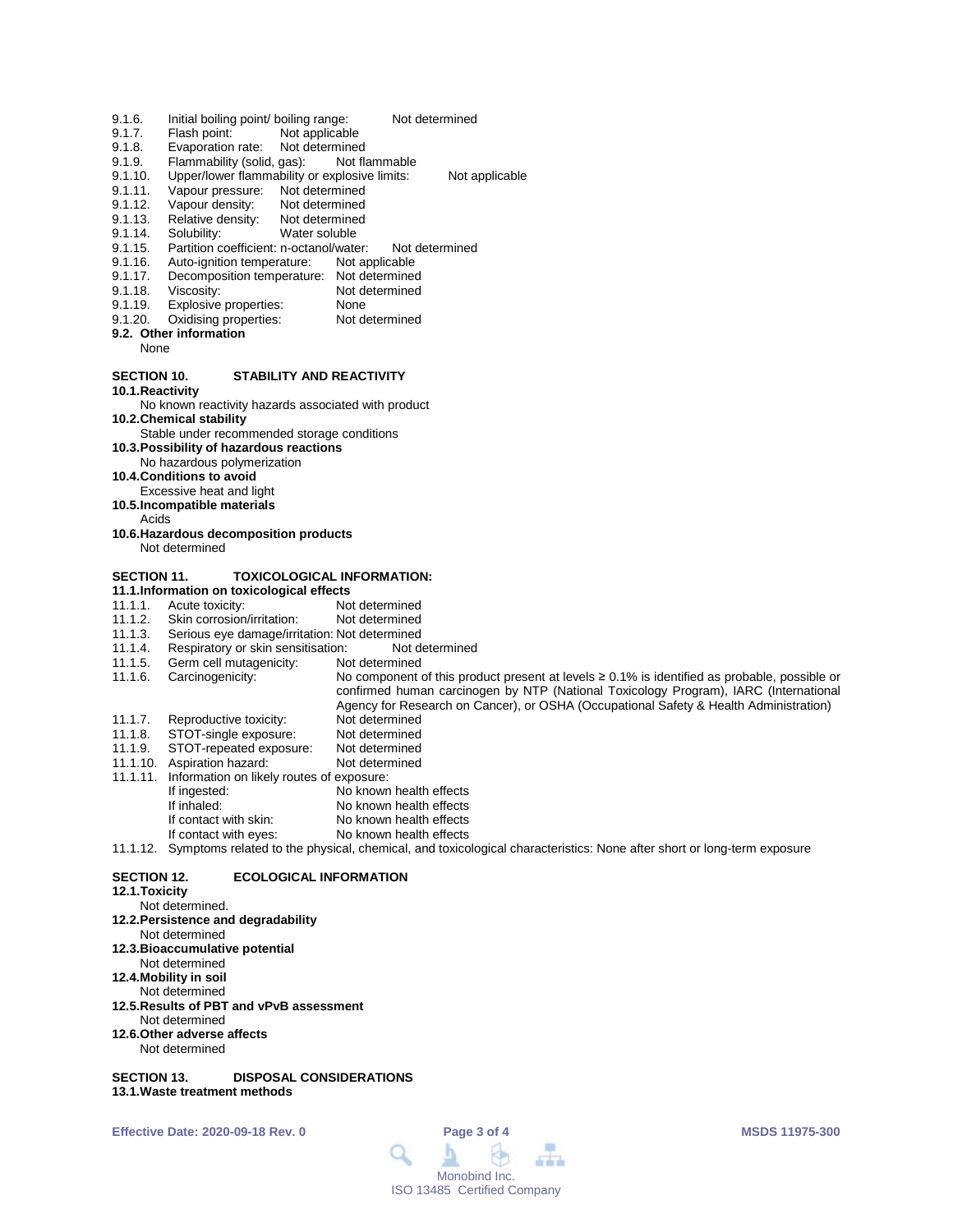- 9.1.6. Initial boiling point/ boiling range: Not determined<br>9.1.7. Flash point: Not applicable
- 9.1.7. Flash point: Not applicable<br>9.1.8. Evaporation rate: Not determined
- 9.1.8. Evaporation rate: Not determined<br>9.1.9. Flammability (solid, gas): Not flammable
- 9.1.9. Flammability (solid, gas):<br>9.1.10. Upper/lower flammability of
- 9.1.10. Upper/lower flammability or explosive limits: Not applicable<br>9.1.11. Vapour pressure: Not determined
- 9.1.11. Vapour pressure: Not determined<br>9.1.12. Vapour density: Not determined
- 9.1.12. Vapour density: Not determined<br>9.1.13. Relative density: Not determined
- 9.1.13. Relative density:<br>9.1.14. Solubility:
- 9.1.14. Solubility: Water soluble<br>9.1.15. Partition coefficient: n-octanol/wate
- Partition coefficient: n-octanol/water: Not determined<br>Auto-ignition temperature: Not applicable
- 9.1.16. Auto-ignition temperature:<br>9.1.17. Decomposition temperature
- 9.1.17. Decomposition temperature: Not determined<br>9.1.18. Viscosity: Not determined
- 9.1.18. Viscosity: Not determined<br>9.1.19. Explosive properties: None
- 9.1.19. Explosive properties: None<br>9.1.20. Oxidising properties: Not determined Oxidising properties:
- **9.2. Other information**
- None

#### **SECTION 10. STABILITY AND REACTIVITY**

#### **10.1.Reactivity**

No known reactivity hazards associated with product **10.2.Chemical stability**

- Stable under recommended storage conditions
- **10.3.Possibility of hazardous reactions**
- No hazardous polymerization
- **10.4.Conditions to avoid**
- Excessive heat and light **10.5.Incompatible materials**
	- Acids
- **10.6.Hazardous decomposition products** Not determined

#### **SECTION 11. TOXICOLOGICAL INFORMATION:**

- 
- **11.1.Information on toxicological effects** 11.1.1. Acute toxicity: Not determined<br>11.1.2. Skin corrosion/irritation: Not determined
- 11.1.2. Skin corrosion/irritation:<br>11.1.3. Serious eve damage/irrit
- 11.1.3. Serious eye damage/irritation: Not determined<br>11.1.4. Respiratory or skin sensitisation: Not determined
- 11.1.4. Respiratory or skin sensitisation: Not do 11.1.5. Germ cell mutagenicity: Not determined
- 11.1.5. Germ cell mutagenicity:<br>11.1.6. Carcinogenicity:
- No component of this product present at levels ≥ 0.1% is identified as probable, possible or confirmed human carcinogen by NTP (National Toxicology Program), IARC (International Agency for Research on Cancer), or OSHA (Occupational Safety & Health Administration)
- 11.1.7. Reproductive toxicity: Not determined<br>11.1.8. STOT-single exposure: Not determined
- 11.1.8. STOT-single exposure: Not determined<br>11.1.9. STOT-repeated exposure: Not determined
- STOT-repeated exposure:
- 11.1.10. Aspiration hazard: Not determined
- 11.1.11. Information on likely routes of exposure:
- If ingested: No known health effects<br>If inhaled: No known health effects
- If inhaled: No known health effects<br>If contact with skin: No known health effects
	- If contact with skin: No known health effects<br>If contact with eves: No known health effects No known health effects
- 11.1.12. Symptoms related to the physical, chemical, and toxicological characteristics: None after short or long-term exposure

#### **SECTION 12. ECOLOGICAL INFORMATION**

#### **12.1.Toxicity**

Not determined.

#### **12.2.Persistence and degradability**

- Not determined
- **12.3.Bioaccumulative potential**
- Not determined
- **12.4.Mobility in soil**
- Not determined
- **12.5.Results of PBT and vPvB assessment**
- Not determined **12.6.Other adverse affects**
- Not determined
- **SECTION 13. DISPOSAL CONSIDERATIONS 13.1.Waste treatment methods**